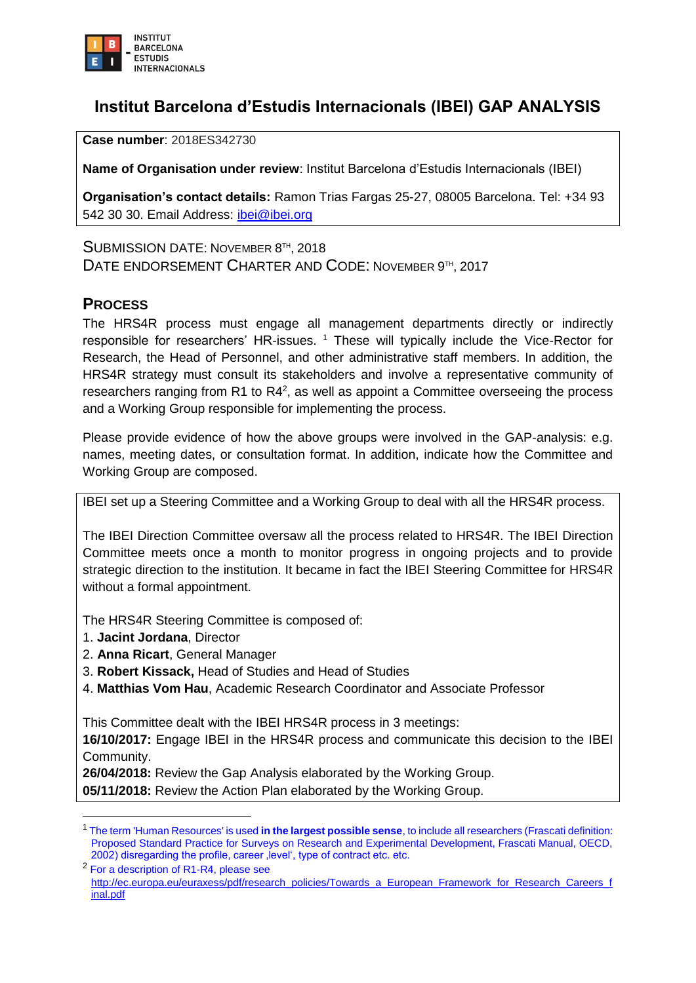

## **Institut Barcelona d'Estudis Internacionals (IBEI) GAP ANALYSIS**

**Case number**: 2018ES342730

**Name of Organisation under review**: Institut Barcelona d'Estudis Internacionals (IBEI)

**Organisation's contact details:** Ramon Trias Fargas 25-27, 08005 Barcelona. Tel: +34 93 542 30 30. Email Address: [ibei@ibei.org](mailto:ibei@ibei.org)

SUBMISSION DATE: NOVEMBER 8<sup>TH</sup>, 2018 DATE ENDORSEMENT CHARTER AND CODE: NOVEMBER 9TH, 2017

## **PROCESS**

The HRS4R process must engage all management departments directly or indirectly responsible for researchers' HR-issues.<sup>1</sup> These will typically include the Vice-Rector for Research, the Head of Personnel, and other administrative staff members. In addition, the HRS4R strategy must consult its stakeholders and involve a representative community of researchers ranging from R1 to R4<sup>2</sup>, as well as appoint a Committee overseeing the process and a Working Group responsible for implementing the process.

Please provide evidence of how the above groups were involved in the GAP-analysis: e.g. names, meeting dates, or consultation format. In addition, indicate how the Committee and Working Group are composed.

IBEI set up a Steering Committee and a Working Group to deal with all the HRS4R process.

The IBEI Direction Committee oversaw all the process related to HRS4R. The IBEI Direction Committee meets once a month to monitor progress in ongoing projects and to provide strategic direction to the institution. It became in fact the IBEI Steering Committee for HRS4R without a formal appointment.

The HRS4R Steering Committee is composed of:

1. **Jacint Jordana**, Director

**.** 

- 2. **Anna Ricart**, General Manager
- 3. **Robert Kissack,** Head of Studies and Head of Studies
- 4. **Matthias Vom Hau**, Academic Research Coordinator and Associate Professor

This Committee dealt with the IBEI HRS4R process in 3 meetings:

**16/10/2017:** Engage IBEI in the HRS4R process and communicate this decision to the IBEI Community.

**26/04/2018:** Review the Gap Analysis elaborated by the Working Group.

**05/11/2018:** Review the Action Plan elaborated by the Working Group.

<sup>2</sup> For a description of R1-R4, please see [http://ec.europa.eu/euraxess/pdf/research\\_policies/Towards\\_a\\_European\\_Framework\\_for\\_Research\\_Careers\\_f](http://ec.europa.eu/euraxess/pdf/research_policies/Towards_a_European_Framework_for_Research_Careers_final.pdf) [inal.pdf](http://ec.europa.eu/euraxess/pdf/research_policies/Towards_a_European_Framework_for_Research_Careers_final.pdf)

<sup>1</sup> The term 'Human Resources' is used **in the largest possible sense**, to include all researchers (Frascati definition: Proposed Standard Practice for Surveys on Research and Experimental Development, Frascati Manual, OECD, 2002) disregarding the profile, career , level', type of contract etc. etc.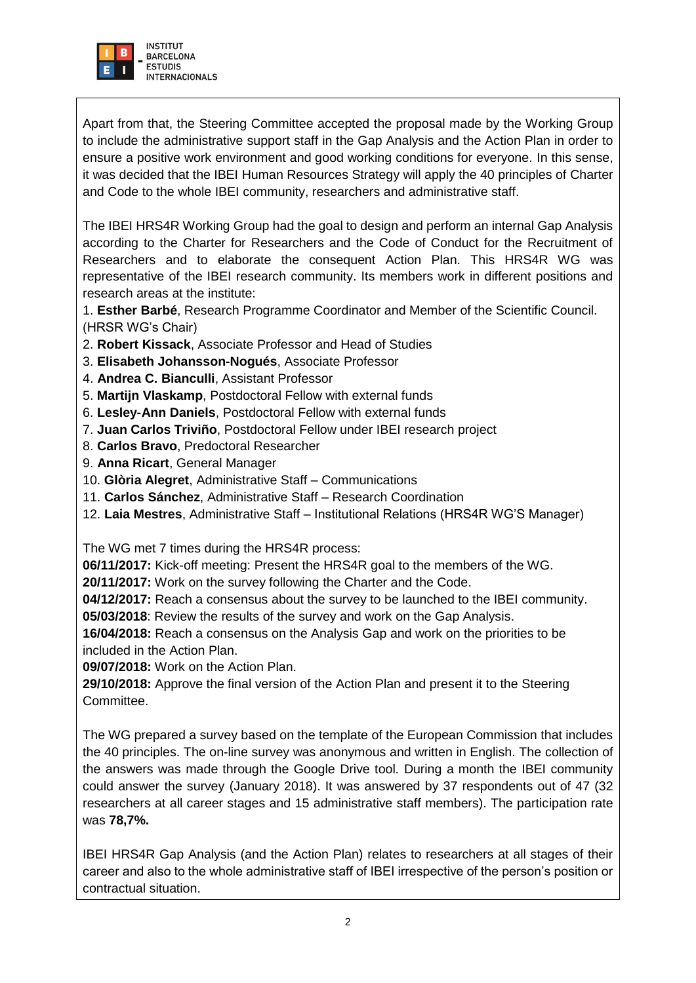

Apart from that, the Steering Committee accepted the proposal made by the Working Group to include the administrative support staff in the Gap Analysis and the Action Plan in order to ensure a positive work environment and good working conditions for everyone. In this sense, it was decided that the IBEI Human Resources Strategy will apply the 40 principles of Charter and Code to the whole IBEI community, researchers and administrative staff.

The IBEI HRS4R Working Group had the goal to design and perform an internal Gap Analysis according to the Charter for Researchers and the Code of Conduct for the Recruitment of Researchers and to elaborate the consequent Action Plan. This HRS4R WG was representative of the IBEI research community. Its members work in different positions and research areas at the institute:

1. **Esther Barbé**, Research Programme Coordinator and Member of the Scientific Council. (HRSR WG's Chair)

- 2. **Robert Kissack**, Associate Professor and Head of Studies
- 3. **Elisabeth Johansson-Nogués**, Associate Professor
- 4. **Andrea C. Bianculli**, Assistant Professor
- 5. **Martijn Vlaskamp**, Postdoctoral Fellow with external funds
- 6. **Lesley-Ann Daniels**, Postdoctoral Fellow with external funds
- 7. **Juan Carlos Triviño**, Postdoctoral Fellow under IBEI research project
- 8. **Carlos Bravo**, Predoctoral Researcher
- 9. **Anna Ricart**, General Manager
- 10. **Glòria Alegret**, Administrative Staff Communications
- 11. **Carlos Sánchez**, Administrative Staff Research Coordination
- 12. **Laia Mestres**, Administrative Staff Institutional Relations (HRS4R WG'S Manager)

The WG met 7 times during the HRS4R process:

**06/11/2017:** Kick-off meeting: Present the HRS4R goal to the members of the WG.

**20/11/2017:** Work on the survey following the Charter and the Code.

**04/12/2017:** Reach a consensus about the survey to be launched to the IBEI community. **05/03/2018**: Review the results of the survey and work on the Gap Analysis.

**16/04/2018:** Reach a consensus on the Analysis Gap and work on the priorities to be included in the Action Plan.

**09/07/2018:** Work on the Action Plan.

**29/10/2018:** Approve the final version of the Action Plan and present it to the Steering Committee.

The WG prepared a survey based on the template of the European Commission that includes the 40 principles. The on-line survey was anonymous and written in English. The collection of the answers was made through the Google Drive tool. During a month the IBEI community could answer the survey (January 2018). It was answered by 37 respondents out of 47 (32 researchers at all career stages and 15 administrative staff members). The participation rate was **78,7%.**

IBEI HRS4R Gap Analysis (and the Action Plan) relates to researchers at all stages of their career and also to the whole administrative staff of IBEI irrespective of the person's position or contractual situation.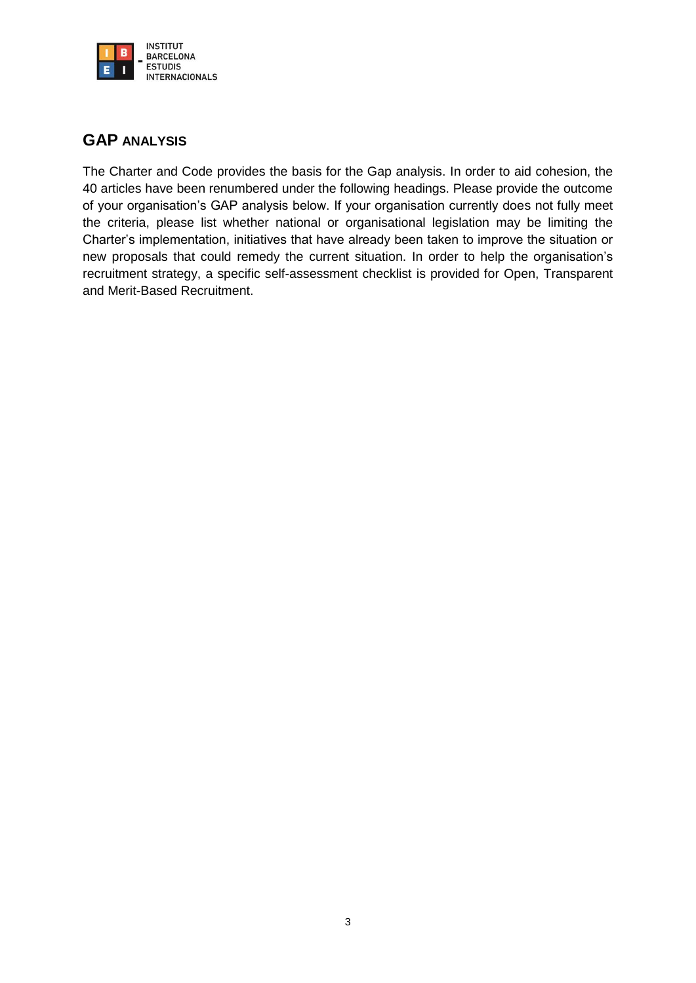

## **GAP ANALYSIS**

The Charter and Code provides the basis for the Gap analysis. In order to aid cohesion, the 40 articles have been renumbered under the following headings. Please provide the outcome of your organisation's GAP analysis below. If your organisation currently does not fully meet the criteria, please list whether national or organisational legislation may be limiting the Charter's implementation, initiatives that have already been taken to improve the situation or new proposals that could remedy the current situation. In order to help the organisation's recruitment strategy, a specific self-assessment checklist is provided for Open, Transparent and Merit-Based Recruitment.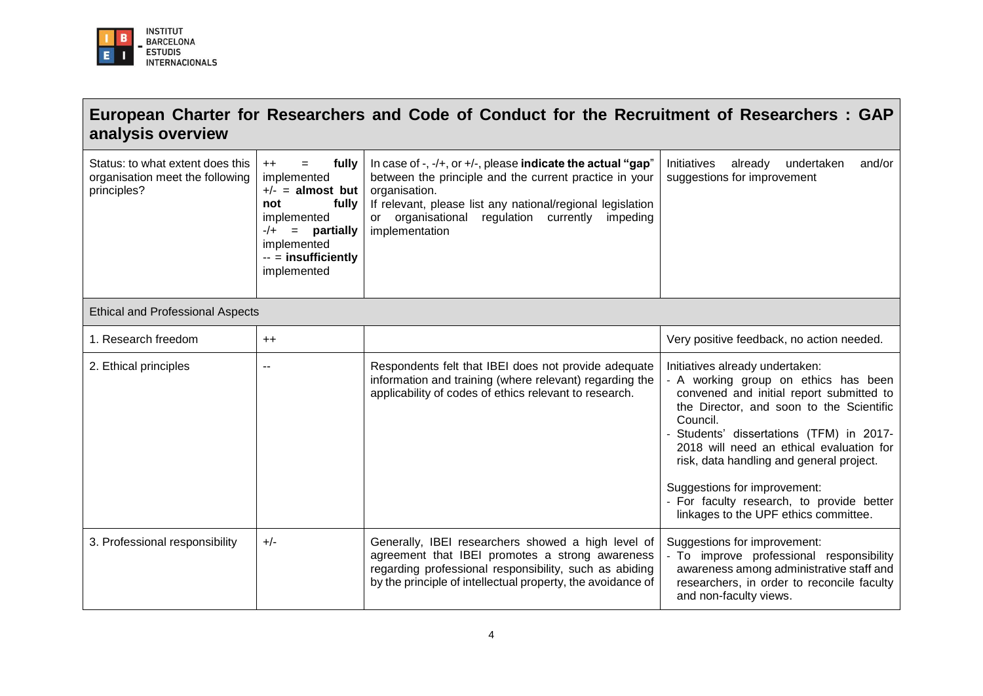

## **European Charter for Researchers and Code of Conduct for the Recruitment of Researchers : GAP analysis overview**

| Status: to what extent does this<br>organisation meet the following<br>principles? | fully<br>$++$<br>$=$<br>implemented<br>$+/-$ = almost but<br>fully<br>not<br>implemented<br>$-/+$ = partially<br>implemented<br>-- = insufficiently<br>implemented | In case of $-$ , $-$ / $+$ , or $+$ / $-$ , please indicate the actual "gap"<br>between the principle and the current practice in your<br>organisation.<br>If relevant, please list any national/regional legislation<br>or organisational regulation currently impeding<br>implementation | Initiatives<br>already<br>and/or<br>undertaken<br>suggestions for improvement                                                                                                                                                                                                                                                                                                                                                       |
|------------------------------------------------------------------------------------|--------------------------------------------------------------------------------------------------------------------------------------------------------------------|--------------------------------------------------------------------------------------------------------------------------------------------------------------------------------------------------------------------------------------------------------------------------------------------|-------------------------------------------------------------------------------------------------------------------------------------------------------------------------------------------------------------------------------------------------------------------------------------------------------------------------------------------------------------------------------------------------------------------------------------|
| <b>Ethical and Professional Aspects</b>                                            |                                                                                                                                                                    |                                                                                                                                                                                                                                                                                            |                                                                                                                                                                                                                                                                                                                                                                                                                                     |
| 1. Research freedom                                                                | $++$                                                                                                                                                               |                                                                                                                                                                                                                                                                                            | Very positive feedback, no action needed.                                                                                                                                                                                                                                                                                                                                                                                           |
| 2. Ethical principles                                                              | $\overline{\phantom{a}}$                                                                                                                                           | Respondents felt that IBEI does not provide adequate<br>information and training (where relevant) regarding the<br>applicability of codes of ethics relevant to research.                                                                                                                  | Initiatives already undertaken:<br>- A working group on ethics has been<br>convened and initial report submitted to<br>the Director, and soon to the Scientific<br>Council.<br>Students' dissertations (TFM) in 2017-<br>2018 will need an ethical evaluation for<br>risk, data handling and general project.<br>Suggestions for improvement:<br>- For faculty research, to provide better<br>linkages to the UPF ethics committee. |
| 3. Professional responsibility                                                     | $+/-$                                                                                                                                                              | Generally, IBEI researchers showed a high level of<br>agreement that IBEI promotes a strong awareness<br>regarding professional responsibility, such as abiding<br>by the principle of intellectual property, the avoidance of                                                             | Suggestions for improvement:<br>- To improve professional responsibility<br>awareness among administrative staff and<br>researchers, in order to reconcile faculty<br>and non-faculty views.                                                                                                                                                                                                                                        |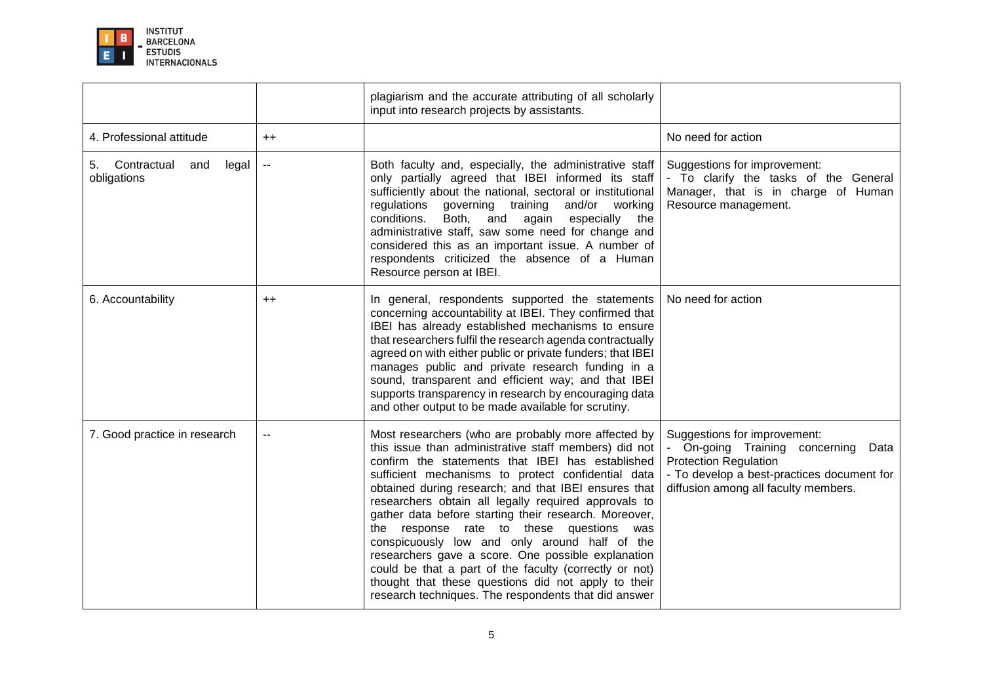

|                                                  |                          | plagiarism and the accurate attributing of all scholarly<br>input into research projects by assistants.                                                                                                                                                                                                                                                                                                                                                                                                                                                                                                                                                                                                                     |                                                                                                                                                                                            |
|--------------------------------------------------|--------------------------|-----------------------------------------------------------------------------------------------------------------------------------------------------------------------------------------------------------------------------------------------------------------------------------------------------------------------------------------------------------------------------------------------------------------------------------------------------------------------------------------------------------------------------------------------------------------------------------------------------------------------------------------------------------------------------------------------------------------------------|--------------------------------------------------------------------------------------------------------------------------------------------------------------------------------------------|
| 4. Professional attitude                         | $++$                     |                                                                                                                                                                                                                                                                                                                                                                                                                                                                                                                                                                                                                                                                                                                             | No need for action                                                                                                                                                                         |
| Contractual<br>5.<br>and<br>legal<br>obligations | $\overline{\phantom{a}}$ | Both faculty and, especially, the administrative staff<br>only partially agreed that IBEI informed its staff<br>sufficiently about the national, sectoral or institutional<br>regulations governing training and/or working<br>conditions.<br>Both, and<br>again especially<br>the<br>administrative staff, saw some need for change and<br>considered this as an important issue. A number of<br>respondents criticized the absence of a Human<br>Resource person at IBEI.                                                                                                                                                                                                                                                 | Suggestions for improvement:<br>- To clarify the tasks of the General<br>Manager, that is in charge of Human<br>Resource management.                                                       |
| 6. Accountability                                | $++$                     | In general, respondents supported the statements<br>concerning accountability at IBEI. They confirmed that<br>IBEI has already established mechanisms to ensure<br>that researchers fulfil the research agenda contractually<br>agreed on with either public or private funders; that IBEI<br>manages public and private research funding in a<br>sound, transparent and efficient way; and that IBEI<br>supports transparency in research by encouraging data<br>and other output to be made available for scrutiny.                                                                                                                                                                                                       | No need for action                                                                                                                                                                         |
| 7. Good practice in research                     | $\overline{\phantom{a}}$ | Most researchers (who are probably more affected by<br>this issue than administrative staff members) did not<br>confirm the statements that IBEI has established<br>sufficient mechanisms to protect confidential data<br>obtained during research; and that IBEI ensures that<br>researchers obtain all legally required approvals to<br>gather data before starting their research. Moreover,<br>the response rate to these questions was<br>conspicuously low and only around half of the<br>researchers gave a score. One possible explanation<br>could be that a part of the faculty (correctly or not)<br>thought that these questions did not apply to their<br>research techniques. The respondents that did answer | Suggestions for improvement:<br>On-going Training concerning<br>Data<br><b>Protection Regulation</b><br>- To develop a best-practices document for<br>diffusion among all faculty members. |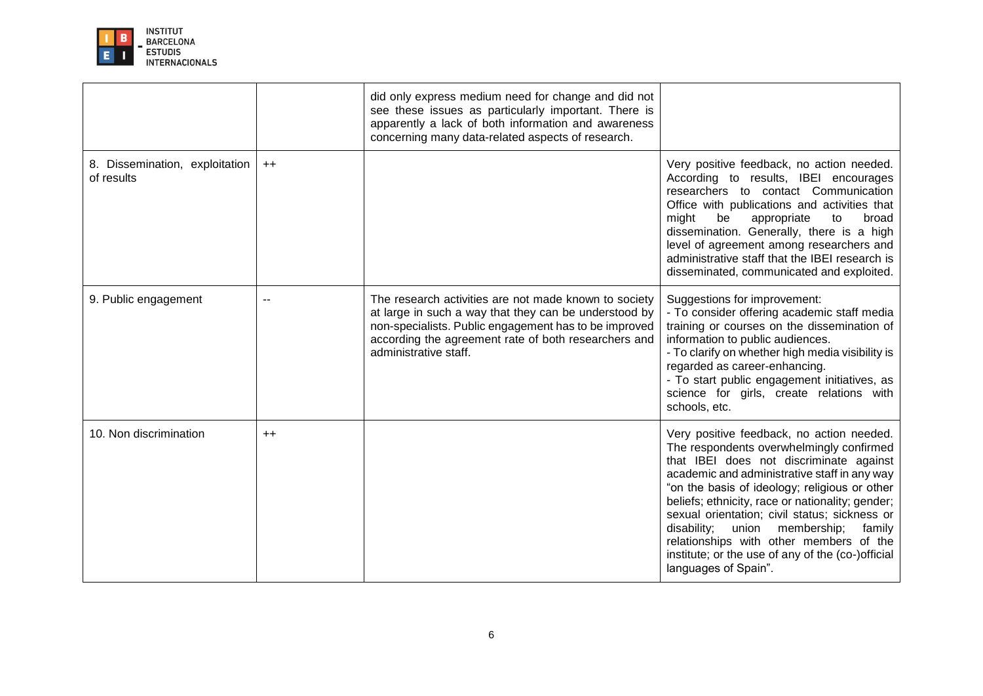

|                                              |         | did only express medium need for change and did not<br>see these issues as particularly important. There is<br>apparently a lack of both information and awareness<br>concerning many data-related aspects of research.                                  |                                                                                                                                                                                                                                                                                                                                                                                                                                                                                                                 |
|----------------------------------------------|---------|----------------------------------------------------------------------------------------------------------------------------------------------------------------------------------------------------------------------------------------------------------|-----------------------------------------------------------------------------------------------------------------------------------------------------------------------------------------------------------------------------------------------------------------------------------------------------------------------------------------------------------------------------------------------------------------------------------------------------------------------------------------------------------------|
| 8. Dissemination, exploitation<br>of results | $++$    |                                                                                                                                                                                                                                                          | Very positive feedback, no action needed.<br>According to results, IBEI encourages<br>researchers to contact Communication<br>Office with publications and activities that<br>might<br>be<br>appropriate<br>to<br>broad<br>dissemination. Generally, there is a high<br>level of agreement among researchers and<br>administrative staff that the IBEI research is<br>disseminated, communicated and exploited.                                                                                                 |
| 9. Public engagement                         | $\sim$  | The research activities are not made known to society<br>at large in such a way that they can be understood by<br>non-specialists. Public engagement has to be improved<br>according the agreement rate of both researchers and<br>administrative staff. | Suggestions for improvement:<br>- To consider offering academic staff media<br>training or courses on the dissemination of<br>information to public audiences.<br>- To clarify on whether high media visibility is<br>regarded as career-enhancing.<br>- To start public engagement initiatives, as<br>science for girls, create relations with<br>schools, etc.                                                                                                                                                |
| 10. Non discrimination                       | $^{++}$ |                                                                                                                                                                                                                                                          | Very positive feedback, no action needed.<br>The respondents overwhelmingly confirmed<br>that IBEI does not discriminate against<br>academic and administrative staff in any way<br>"on the basis of ideology; religious or other<br>beliefs; ethnicity, race or nationality; gender;<br>sexual orientation; civil status; sickness or<br>disability;<br>union<br>membership;<br>family<br>relationships with other members of the<br>institute; or the use of any of the (co-)official<br>languages of Spain". |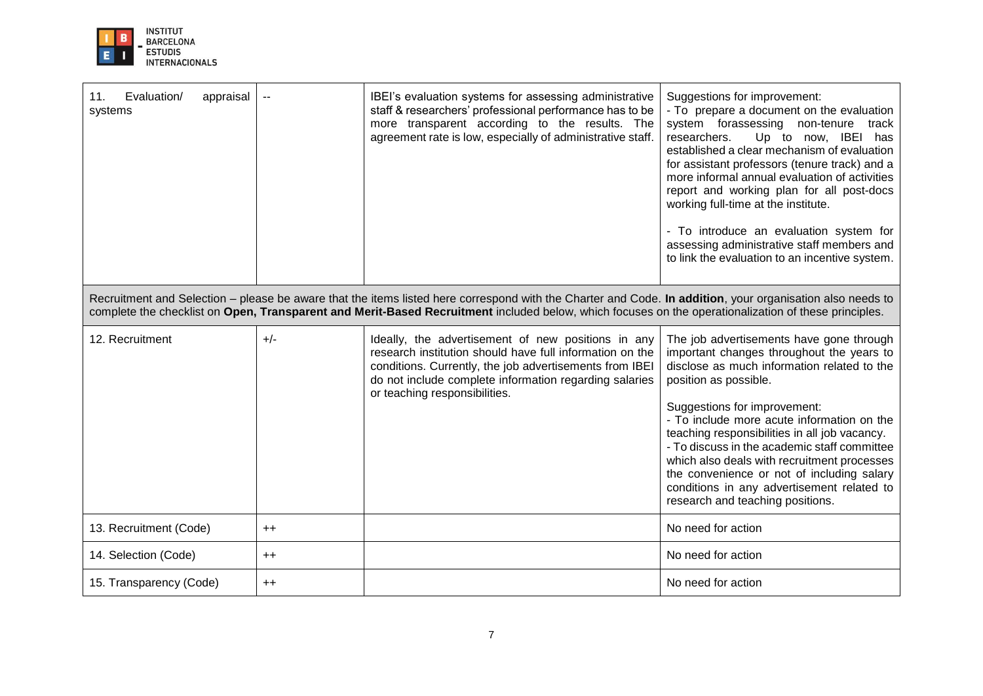

| Evaluation/<br>11.<br>appraisal<br>systems |       | IBEI's evaluation systems for assessing administrative<br>staff & researchers' professional performance has to be<br>more transparent according to the results. The<br>agreement rate is low, especially of administrative staff.<br>Recruitment and Selection - please be aware that the items listed here correspond with the Charter and Code. In addition, your organisation also needs to | Suggestions for improvement:<br>- To prepare a document on the evaluation<br>system forassessing non-tenure track<br>Up to now, IBEI has<br>researchers.<br>established a clear mechanism of evaluation<br>for assistant professors (tenure track) and a<br>more informal annual evaluation of activities<br>report and working plan for all post-docs<br>working full-time at the institute.<br>- To introduce an evaluation system for<br>assessing administrative staff members and<br>to link the evaluation to an incentive system. |
|--------------------------------------------|-------|------------------------------------------------------------------------------------------------------------------------------------------------------------------------------------------------------------------------------------------------------------------------------------------------------------------------------------------------------------------------------------------------|------------------------------------------------------------------------------------------------------------------------------------------------------------------------------------------------------------------------------------------------------------------------------------------------------------------------------------------------------------------------------------------------------------------------------------------------------------------------------------------------------------------------------------------|
|                                            |       | complete the checklist on Open, Transparent and Merit-Based Recruitment included below, which focuses on the operationalization of these principles.                                                                                                                                                                                                                                           |                                                                                                                                                                                                                                                                                                                                                                                                                                                                                                                                          |
| 12. Recruitment                            | $+/-$ | Ideally, the advertisement of new positions in any<br>research institution should have full information on the<br>conditions. Currently, the job advertisements from IBEI<br>do not include complete information regarding salaries<br>or teaching responsibilities.                                                                                                                           | The job advertisements have gone through<br>important changes throughout the years to<br>disclose as much information related to the<br>position as possible.<br>Suggestions for improvement:<br>- To include more acute information on the<br>teaching responsibilities in all job vacancy.<br>- To discuss in the academic staff committee<br>which also deals with recruitment processes<br>the convenience or not of including salary<br>conditions in any advertisement related to<br>research and teaching positions.              |
| 13. Recruitment (Code)                     | $++$  |                                                                                                                                                                                                                                                                                                                                                                                                | No need for action                                                                                                                                                                                                                                                                                                                                                                                                                                                                                                                       |
| 14. Selection (Code)                       | $++$  |                                                                                                                                                                                                                                                                                                                                                                                                | No need for action                                                                                                                                                                                                                                                                                                                                                                                                                                                                                                                       |
| 15. Transparency (Code)                    | $++$  |                                                                                                                                                                                                                                                                                                                                                                                                | No need for action                                                                                                                                                                                                                                                                                                                                                                                                                                                                                                                       |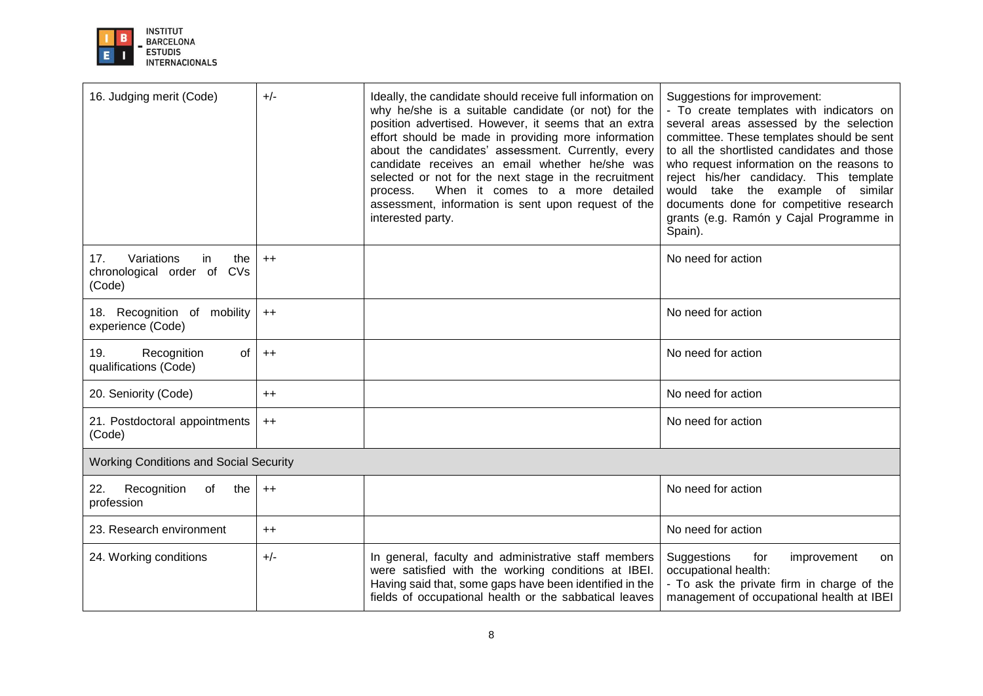

| 16. Judging merit (Code)                                                  | $+/-$           | Ideally, the candidate should receive full information on<br>why he/she is a suitable candidate (or not) for the<br>position advertised. However, it seems that an extra<br>effort should be made in providing more information<br>about the candidates' assessment. Currently, every<br>candidate receives an email whether he/she was<br>selected or not for the next stage in the recruitment<br>When it comes to a more detailed<br>process.<br>assessment, information is sent upon request of the<br>interested party. | Suggestions for improvement:<br>- To create templates with indicators on<br>several areas assessed by the selection<br>committee. These templates should be sent<br>to all the shortlisted candidates and those<br>who request information on the reasons to<br>reject his/her candidacy. This template<br>would take the example of similar<br>documents done for competitive research<br>grants (e.g. Ramón y Cajal Programme in<br>Spain). |
|---------------------------------------------------------------------------|-----------------|------------------------------------------------------------------------------------------------------------------------------------------------------------------------------------------------------------------------------------------------------------------------------------------------------------------------------------------------------------------------------------------------------------------------------------------------------------------------------------------------------------------------------|-----------------------------------------------------------------------------------------------------------------------------------------------------------------------------------------------------------------------------------------------------------------------------------------------------------------------------------------------------------------------------------------------------------------------------------------------|
| Variations<br>17.<br>in<br>the<br>CVs<br>chronological order of<br>(Code) | $++$            |                                                                                                                                                                                                                                                                                                                                                                                                                                                                                                                              | No need for action                                                                                                                                                                                                                                                                                                                                                                                                                            |
| 18. Recognition of mobility<br>experience (Code)                          | $++$            |                                                                                                                                                                                                                                                                                                                                                                                                                                                                                                                              | No need for action                                                                                                                                                                                                                                                                                                                                                                                                                            |
| Recognition<br>of<br>19.<br>qualifications (Code)                         | $++$            |                                                                                                                                                                                                                                                                                                                                                                                                                                                                                                                              | No need for action                                                                                                                                                                                                                                                                                                                                                                                                                            |
| 20. Seniority (Code)                                                      | $^{\mathrm{+}}$ |                                                                                                                                                                                                                                                                                                                                                                                                                                                                                                                              | No need for action                                                                                                                                                                                                                                                                                                                                                                                                                            |
| 21. Postdoctoral appointments<br>(Code)                                   | $++$            |                                                                                                                                                                                                                                                                                                                                                                                                                                                                                                                              | No need for action                                                                                                                                                                                                                                                                                                                                                                                                                            |
| <b>Working Conditions and Social Security</b>                             |                 |                                                                                                                                                                                                                                                                                                                                                                                                                                                                                                                              |                                                                                                                                                                                                                                                                                                                                                                                                                                               |
| Recognition<br>22.<br>of<br>the<br>profession                             | $++$            |                                                                                                                                                                                                                                                                                                                                                                                                                                                                                                                              | No need for action                                                                                                                                                                                                                                                                                                                                                                                                                            |
| 23. Research environment                                                  | $^{++}$         |                                                                                                                                                                                                                                                                                                                                                                                                                                                                                                                              | No need for action                                                                                                                                                                                                                                                                                                                                                                                                                            |
| 24. Working conditions                                                    | $+/-$           | In general, faculty and administrative staff members<br>were satisfied with the working conditions at IBEI.<br>Having said that, some gaps have been identified in the<br>fields of occupational health or the sabbatical leaves                                                                                                                                                                                                                                                                                             | Suggestions<br>for<br>improvement<br>on<br>occupational health:<br>- To ask the private firm in charge of the<br>management of occupational health at IBEI                                                                                                                                                                                                                                                                                    |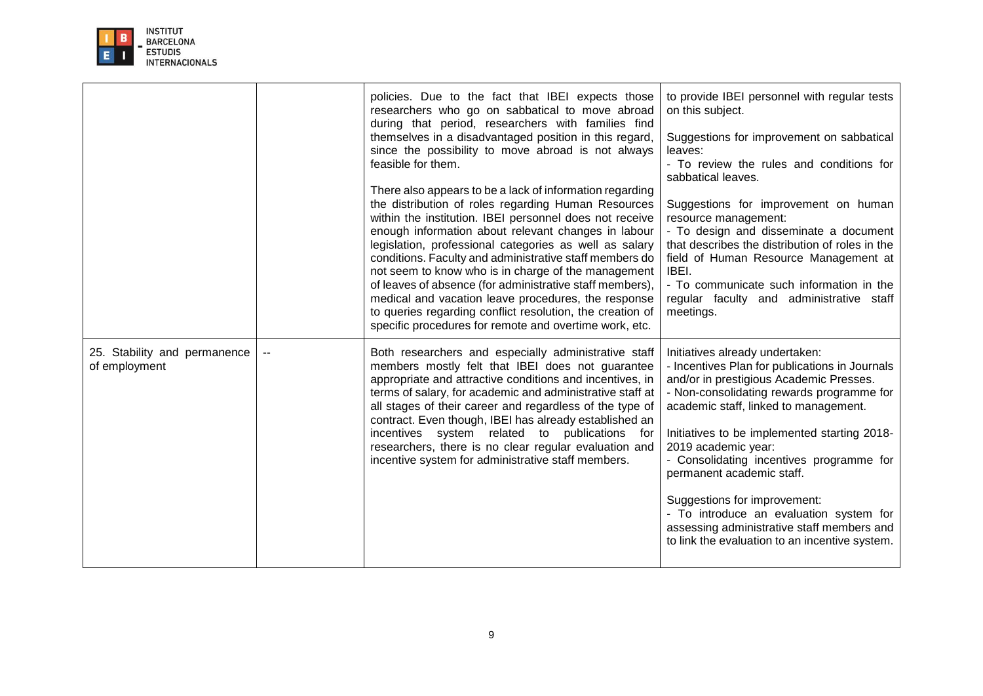

|                                               | policies. Due to the fact that IBEI expects those<br>researchers who go on sabbatical to move abroad<br>during that period, researchers with families find<br>themselves in a disadvantaged position in this regard,<br>since the possibility to move abroad is not always<br>feasible for them.<br>There also appears to be a lack of information regarding<br>the distribution of roles regarding Human Resources<br>within the institution. IBEI personnel does not receive<br>enough information about relevant changes in labour<br>legislation, professional categories as well as salary<br>conditions. Faculty and administrative staff members do<br>not seem to know who is in charge of the management<br>of leaves of absence (for administrative staff members),<br>medical and vacation leave procedures, the response<br>to queries regarding conflict resolution, the creation of<br>specific procedures for remote and overtime work, etc. | to provide IBEI personnel with regular tests<br>on this subject.<br>Suggestions for improvement on sabbatical<br>leaves:<br>- To review the rules and conditions for<br>sabbatical leaves.<br>Suggestions for improvement on human<br>resource management:<br>- To design and disseminate a document<br>that describes the distribution of roles in the<br>field of Human Resource Management at<br>IBEI.<br>- To communicate such information in the<br>regular faculty and administrative staff<br>meetings.                                |
|-----------------------------------------------|-------------------------------------------------------------------------------------------------------------------------------------------------------------------------------------------------------------------------------------------------------------------------------------------------------------------------------------------------------------------------------------------------------------------------------------------------------------------------------------------------------------------------------------------------------------------------------------------------------------------------------------------------------------------------------------------------------------------------------------------------------------------------------------------------------------------------------------------------------------------------------------------------------------------------------------------------------------|-----------------------------------------------------------------------------------------------------------------------------------------------------------------------------------------------------------------------------------------------------------------------------------------------------------------------------------------------------------------------------------------------------------------------------------------------------------------------------------------------------------------------------------------------|
| 25. Stability and permanence<br>of employment | Both researchers and especially administrative staff<br>members mostly felt that IBEI does not guarantee<br>appropriate and attractive conditions and incentives, in<br>terms of salary, for academic and administrative staff at<br>all stages of their career and regardless of the type of<br>contract. Even though, IBEI has already established an<br>incentives system related to publications<br>for<br>researchers, there is no clear regular evaluation and<br>incentive system for administrative staff members.                                                                                                                                                                                                                                                                                                                                                                                                                                  | Initiatives already undertaken:<br>- Incentives Plan for publications in Journals<br>and/or in prestigious Academic Presses.<br>- Non-consolidating rewards programme for<br>academic staff, linked to management.<br>Initiatives to be implemented starting 2018-<br>2019 academic year:<br>- Consolidating incentives programme for<br>permanent academic staff.<br>Suggestions for improvement:<br>- To introduce an evaluation system for<br>assessing administrative staff members and<br>to link the evaluation to an incentive system. |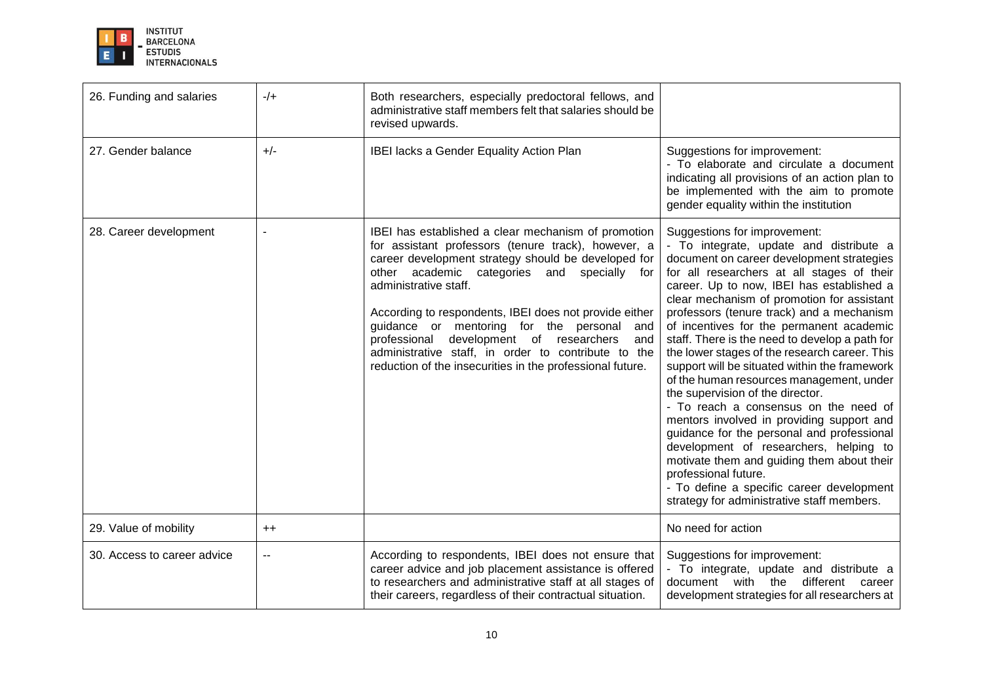

| 26. Funding and salaries    | $-/+$   | Both researchers, especially predoctoral fellows, and<br>administrative staff members felt that salaries should be<br>revised upwards.                                                                                                                                                                                                                                                                                                                                                                                        |                                                                                                                                                                                                                                                                                                                                                                                                                                                                                                                                                                                                                                                                                                                                                                                                                                                                                                                                           |
|-----------------------------|---------|-------------------------------------------------------------------------------------------------------------------------------------------------------------------------------------------------------------------------------------------------------------------------------------------------------------------------------------------------------------------------------------------------------------------------------------------------------------------------------------------------------------------------------|-------------------------------------------------------------------------------------------------------------------------------------------------------------------------------------------------------------------------------------------------------------------------------------------------------------------------------------------------------------------------------------------------------------------------------------------------------------------------------------------------------------------------------------------------------------------------------------------------------------------------------------------------------------------------------------------------------------------------------------------------------------------------------------------------------------------------------------------------------------------------------------------------------------------------------------------|
| 27. Gender balance          | $+/-$   | IBEI lacks a Gender Equality Action Plan                                                                                                                                                                                                                                                                                                                                                                                                                                                                                      | Suggestions for improvement:<br>- To elaborate and circulate a document<br>indicating all provisions of an action plan to<br>be implemented with the aim to promote<br>gender equality within the institution                                                                                                                                                                                                                                                                                                                                                                                                                                                                                                                                                                                                                                                                                                                             |
| 28. Career development      |         | IBEI has established a clear mechanism of promotion<br>for assistant professors (tenure track), however, a<br>career development strategy should be developed for<br>other academic categories and specially for<br>administrative staff.<br>According to respondents, IBEI does not provide either<br>guidance or mentoring for the personal<br>and<br>development of researchers<br>professional<br>and<br>administrative staff, in order to contribute to the<br>reduction of the insecurities in the professional future. | Suggestions for improvement:<br>- To integrate, update and distribute a<br>document on career development strategies<br>for all researchers at all stages of their<br>career. Up to now, IBEI has established a<br>clear mechanism of promotion for assistant<br>professors (tenure track) and a mechanism<br>of incentives for the permanent academic<br>staff. There is the need to develop a path for<br>the lower stages of the research career. This<br>support will be situated within the framework<br>of the human resources management, under<br>the supervision of the director.<br>- To reach a consensus on the need of<br>mentors involved in providing support and<br>guidance for the personal and professional<br>development of researchers, helping to<br>motivate them and guiding them about their<br>professional future.<br>- To define a specific career development<br>strategy for administrative staff members. |
| 29. Value of mobility       | $^{++}$ |                                                                                                                                                                                                                                                                                                                                                                                                                                                                                                                               | No need for action                                                                                                                                                                                                                                                                                                                                                                                                                                                                                                                                                                                                                                                                                                                                                                                                                                                                                                                        |
| 30. Access to career advice | --      | According to respondents, IBEI does not ensure that<br>career advice and job placement assistance is offered<br>to researchers and administrative staff at all stages of<br>their careers, regardless of their contractual situation.                                                                                                                                                                                                                                                                                         | Suggestions for improvement:<br>- To integrate, update and distribute a<br>document with the<br>different career<br>development strategies for all researchers at                                                                                                                                                                                                                                                                                                                                                                                                                                                                                                                                                                                                                                                                                                                                                                         |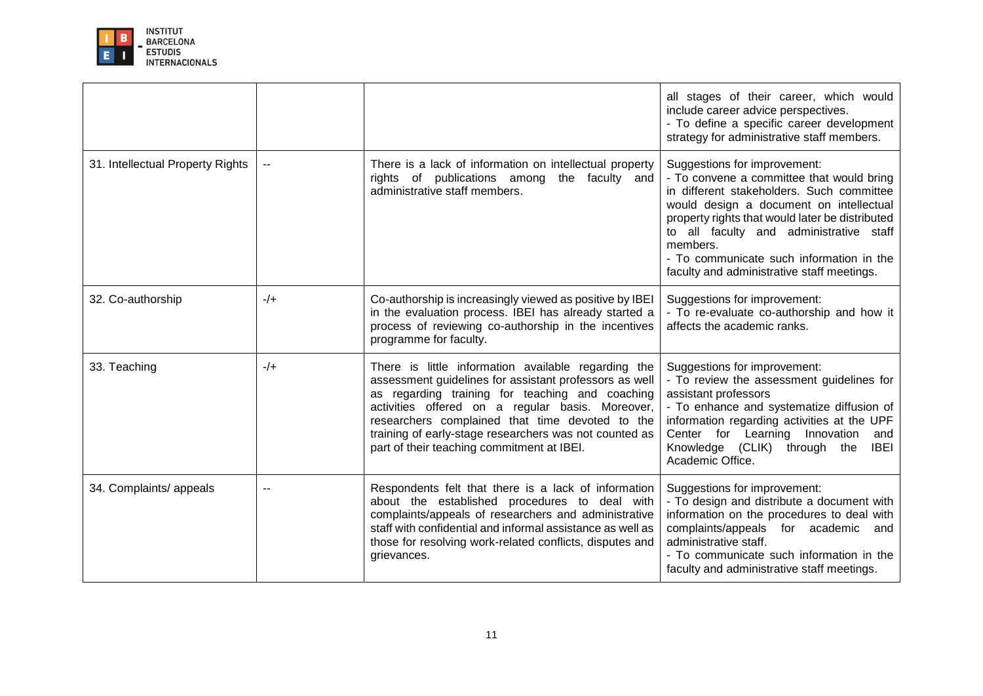

|                                  |       |                                                                                                                                                                                                                                                                                                                                                                                 | all stages of their career, which would<br>include career advice perspectives.<br>- To define a specific career development<br>strategy for administrative staff members.                                                                                                                                                                                             |
|----------------------------------|-------|---------------------------------------------------------------------------------------------------------------------------------------------------------------------------------------------------------------------------------------------------------------------------------------------------------------------------------------------------------------------------------|-----------------------------------------------------------------------------------------------------------------------------------------------------------------------------------------------------------------------------------------------------------------------------------------------------------------------------------------------------------------------|
| 31. Intellectual Property Rights | н.    | There is a lack of information on intellectual property<br>rights of publications among the faculty and<br>administrative staff members.                                                                                                                                                                                                                                        | Suggestions for improvement:<br>- To convene a committee that would bring<br>in different stakeholders. Such committee<br>would design a document on intellectual<br>property rights that would later be distributed<br>to all faculty and administrative staff<br>members.<br>- To communicate such information in the<br>faculty and administrative staff meetings. |
| 32. Co-authorship                | $-/-$ | Co-authorship is increasingly viewed as positive by IBEI<br>in the evaluation process. IBEI has already started a<br>process of reviewing co-authorship in the incentives<br>programme for faculty.                                                                                                                                                                             | Suggestions for improvement:<br>- To re-evaluate co-authorship and how it<br>affects the academic ranks.                                                                                                                                                                                                                                                              |
| 33. Teaching                     | $-/+$ | There is little information available regarding the<br>assessment guidelines for assistant professors as well<br>as regarding training for teaching and coaching<br>activities offered on a regular basis. Moreover,<br>researchers complained that time devoted to the<br>training of early-stage researchers was not counted as<br>part of their teaching commitment at IBEI. | Suggestions for improvement:<br>- To review the assessment guidelines for<br>assistant professors<br>- To enhance and systematize diffusion of<br>information regarding activities at the UPF<br>Center for Learning Innovation<br>and<br><b>IBEI</b><br>Knowledge (CLIK) through the<br>Academic Office.                                                             |
| 34. Complaints/ appeals          |       | Respondents felt that there is a lack of information<br>about the established procedures to deal with<br>complaints/appeals of researchers and administrative<br>staff with confidential and informal assistance as well as<br>those for resolving work-related conflicts, disputes and<br>grievances.                                                                          | Suggestions for improvement:<br>- To design and distribute a document with<br>information on the procedures to deal with<br>complaints/appeals for academic<br>and<br>administrative staff.<br>- To communicate such information in the<br>faculty and administrative staff meetings.                                                                                 |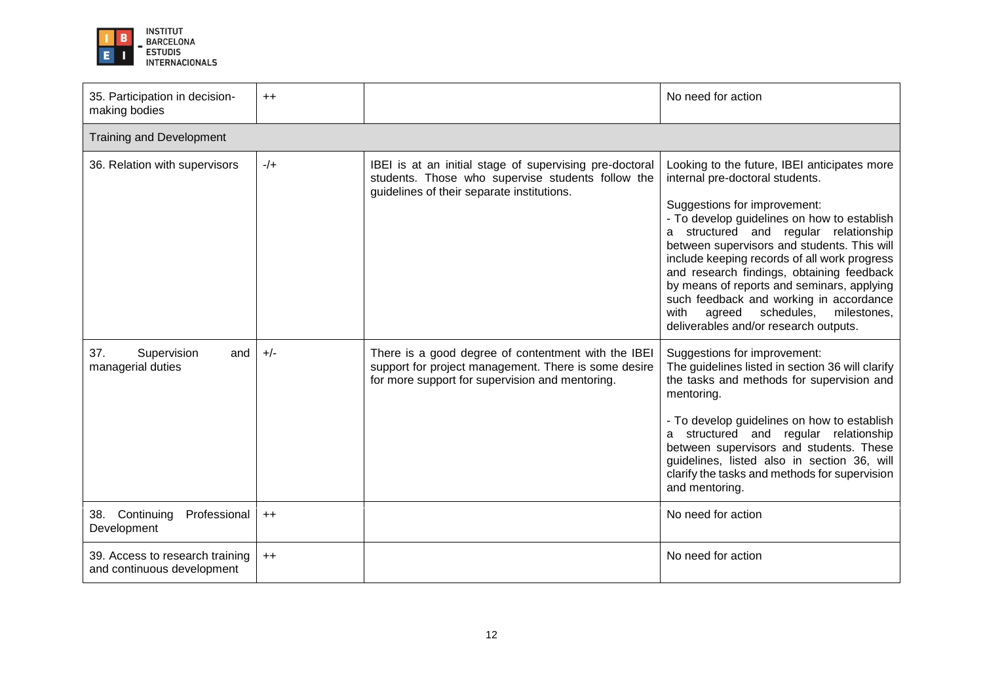

| 35. Participation in decision-<br>making bodies               | $++$    |                                                                                                                                                                | No need for action                                                                                                                                                                                                                                                                                                                                                                                                                                                                                                                      |  |  |  |  |  |
|---------------------------------------------------------------|---------|----------------------------------------------------------------------------------------------------------------------------------------------------------------|-----------------------------------------------------------------------------------------------------------------------------------------------------------------------------------------------------------------------------------------------------------------------------------------------------------------------------------------------------------------------------------------------------------------------------------------------------------------------------------------------------------------------------------------|--|--|--|--|--|
| <b>Training and Development</b>                               |         |                                                                                                                                                                |                                                                                                                                                                                                                                                                                                                                                                                                                                                                                                                                         |  |  |  |  |  |
| 36. Relation with supervisors                                 | $-/-$   | IBEI is at an initial stage of supervising pre-doctoral<br>students. Those who supervise students follow the<br>guidelines of their separate institutions.     | Looking to the future, IBEI anticipates more<br>internal pre-doctoral students.<br>Suggestions for improvement:<br>- To develop guidelines on how to establish<br>structured and regular relationship<br>a<br>between supervisors and students. This will<br>include keeping records of all work progress<br>and research findings, obtaining feedback<br>by means of reports and seminars, applying<br>such feedback and working in accordance<br>schedules,<br>with<br>agreed<br>milestones,<br>deliverables and/or research outputs. |  |  |  |  |  |
| 37.<br>Supervision<br>and<br>managerial duties                | $+/-$   | There is a good degree of contentment with the IBEI<br>support for project management. There is some desire<br>for more support for supervision and mentoring. | Suggestions for improvement:<br>The guidelines listed in section 36 will clarify<br>the tasks and methods for supervision and<br>mentoring.<br>- To develop guidelines on how to establish<br>a structured and regular relationship<br>between supervisors and students. These<br>guidelines, listed also in section 36, will<br>clarify the tasks and methods for supervision<br>and mentoring.                                                                                                                                        |  |  |  |  |  |
| 38. Continuing<br>Professional<br>Development                 | $^{++}$ |                                                                                                                                                                | No need for action                                                                                                                                                                                                                                                                                                                                                                                                                                                                                                                      |  |  |  |  |  |
| 39. Access to research training<br>and continuous development | $^{++}$ |                                                                                                                                                                | No need for action                                                                                                                                                                                                                                                                                                                                                                                                                                                                                                                      |  |  |  |  |  |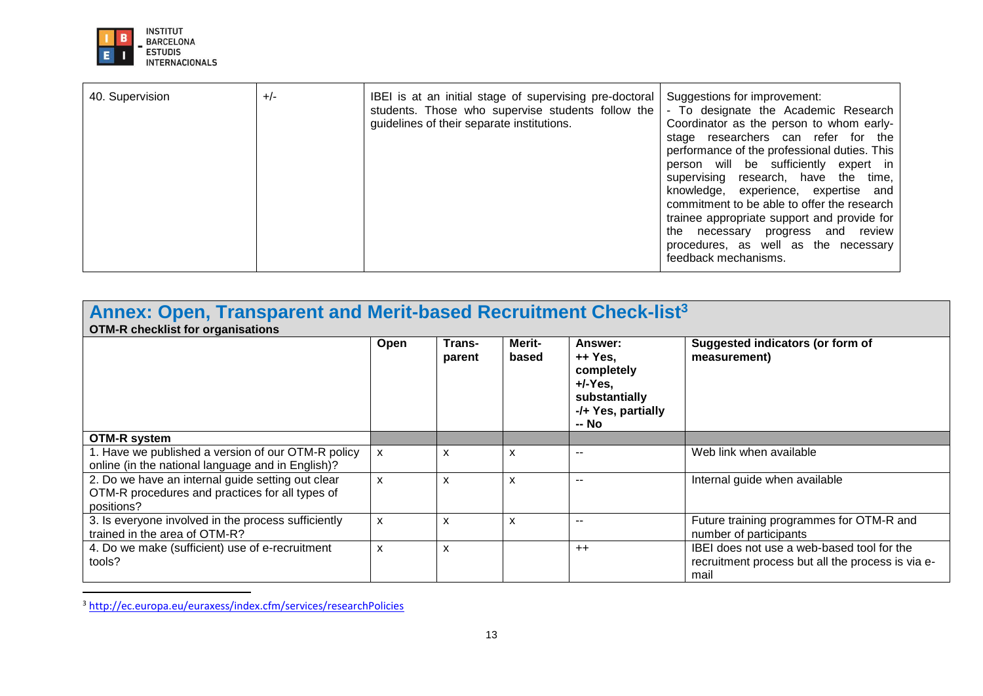

| Annex: Open, Transparent and Merit-based Recruitment Check-list <sup>3</sup><br><b>OTM-R checklist for organisations</b> |              |                           |                 |                                                                                                |                                                                                                         |  |
|--------------------------------------------------------------------------------------------------------------------------|--------------|---------------------------|-----------------|------------------------------------------------------------------------------------------------|---------------------------------------------------------------------------------------------------------|--|
|                                                                                                                          | Open         | Trans-<br>parent          | Merit-<br>based | Answer:<br>++ Yes.<br>completely<br>$+/-Y$ es,<br>substantially<br>-/+ Yes, partially<br>-- No | Suggested indicators (or form of<br>measurement)                                                        |  |
| OTM-R system                                                                                                             |              |                           |                 |                                                                                                |                                                                                                         |  |
| 1. Have we published a version of our OTM-R policy<br>online (in the national language and in English)?                  | X            | X                         | X               | --                                                                                             | Web link when available                                                                                 |  |
| 2. Do we have an internal guide setting out clear<br>OTM-R procedures and practices for all types of<br>positions?       | $\mathsf{x}$ | $\boldsymbol{\mathsf{x}}$ | X               | --                                                                                             | Internal guide when available                                                                           |  |
| 3. Is everyone involved in the process sufficiently<br>trained in the area of OTM-R?                                     | $\mathsf{x}$ | $\boldsymbol{\mathsf{x}}$ | X               | --                                                                                             | Future training programmes for OTM-R and<br>number of participants                                      |  |
| 4. Do we make (sufficient) use of e-recruitment<br>tools?                                                                | $\mathsf{x}$ | X                         |                 | $++$                                                                                           | IBEI does not use a web-based tool for the<br>recruitment process but all the process is via e-<br>mail |  |

<sup>3</sup> <http://ec.europa.eu/euraxess/index.cfm/services/researchPolicies>

 $\ddot{\phantom{a}}$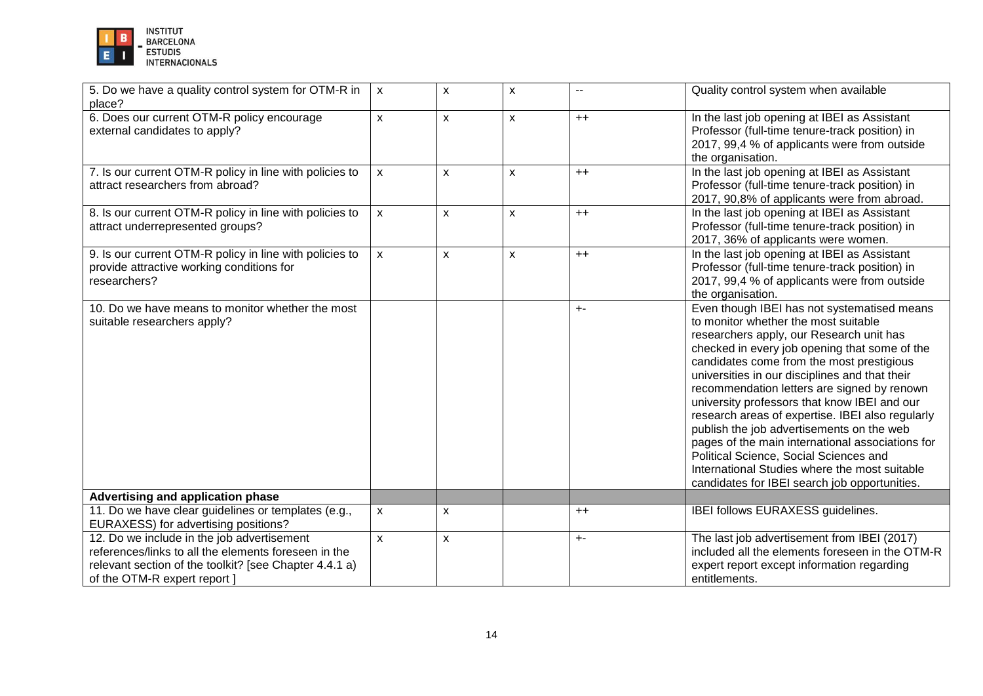

| 5. Do we have a quality control system for OTM-R in<br>place?                                                                                                                                | $\mathsf{x}$       | X                         | X            | $\overline{\phantom{a}}$ | Quality control system when available                                                                                                                                                                                                                                                                                                                                                                                                                                                                                                                                                                                                                                           |
|----------------------------------------------------------------------------------------------------------------------------------------------------------------------------------------------|--------------------|---------------------------|--------------|--------------------------|---------------------------------------------------------------------------------------------------------------------------------------------------------------------------------------------------------------------------------------------------------------------------------------------------------------------------------------------------------------------------------------------------------------------------------------------------------------------------------------------------------------------------------------------------------------------------------------------------------------------------------------------------------------------------------|
| 6. Does our current OTM-R policy encourage<br>external candidates to apply?                                                                                                                  | $\mathsf{x}$       | $\boldsymbol{\mathsf{X}}$ | $\mathsf{x}$ | $++$                     | In the last job opening at IBEI as Assistant<br>Professor (full-time tenure-track position) in<br>2017, 99,4 % of applicants were from outside<br>the organisation.                                                                                                                                                                                                                                                                                                                                                                                                                                                                                                             |
| 7. Is our current OTM-R policy in line with policies to<br>attract researchers from abroad?                                                                                                  | $\mathsf{x}$       | $\boldsymbol{\mathsf{x}}$ | $\mathsf{x}$ | $++$                     | In the last job opening at IBEI as Assistant<br>Professor (full-time tenure-track position) in<br>2017, 90,8% of applicants were from abroad.                                                                                                                                                                                                                                                                                                                                                                                                                                                                                                                                   |
| 8. Is our current OTM-R policy in line with policies to<br>attract underrepresented groups?                                                                                                  | $\pmb{\mathsf{X}}$ | $\boldsymbol{\mathsf{X}}$ | $\mathsf{x}$ | $++$                     | In the last job opening at IBEI as Assistant<br>Professor (full-time tenure-track position) in<br>2017, 36% of applicants were women.                                                                                                                                                                                                                                                                                                                                                                                                                                                                                                                                           |
| 9. Is our current OTM-R policy in line with policies to<br>provide attractive working conditions for<br>researchers?                                                                         | $\mathsf{x}$       | $\boldsymbol{\mathsf{X}}$ | $\mathsf{x}$ | $++$                     | In the last job opening at IBEI as Assistant<br>Professor (full-time tenure-track position) in<br>2017, 99,4 % of applicants were from outside<br>the organisation.                                                                                                                                                                                                                                                                                                                                                                                                                                                                                                             |
| 10. Do we have means to monitor whether the most<br>suitable researchers apply?                                                                                                              |                    |                           |              | $+ -$                    | Even though IBEI has not systematised means<br>to monitor whether the most suitable<br>researchers apply, our Research unit has<br>checked in every job opening that some of the<br>candidates come from the most prestigious<br>universities in our disciplines and that their<br>recommendation letters are signed by renown<br>university professors that know IBEI and our<br>research areas of expertise. IBEI also regularly<br>publish the job advertisements on the web<br>pages of the main international associations for<br>Political Science, Social Sciences and<br>International Studies where the most suitable<br>candidates for IBEI search job opportunities. |
| Advertising and application phase                                                                                                                                                            |                    |                           |              |                          |                                                                                                                                                                                                                                                                                                                                                                                                                                                                                                                                                                                                                                                                                 |
| 11. Do we have clear guidelines or templates (e.g.,<br>EURAXESS) for advertising positions?                                                                                                  | $\mathsf{x}$       | $\mathsf{x}$              |              | $++$                     | IBEI follows EURAXESS guidelines.                                                                                                                                                                                                                                                                                                                                                                                                                                                                                                                                                                                                                                               |
| 12. Do we include in the job advertisement<br>references/links to all the elements foreseen in the<br>relevant section of the toolkit? [see Chapter 4.4.1 a)<br>of the OTM-R expert report ] | X                  | $\mathsf{x}$              |              | $+ -$                    | The last job advertisement from IBEI (2017)<br>included all the elements foreseen in the OTM-R<br>expert report except information regarding<br>entitlements.                                                                                                                                                                                                                                                                                                                                                                                                                                                                                                                   |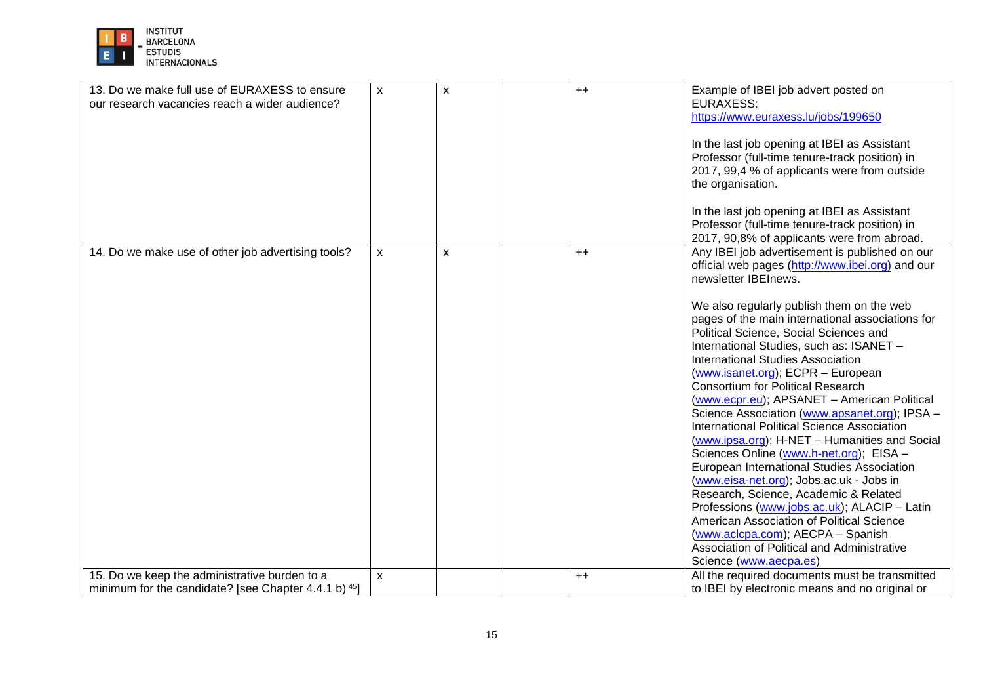

| 13. Do we make full use of EURAXESS to ensure<br>our research vacancies reach a wider audience?       | $\mathsf{x}$       | X | $++$ | Example of IBEI job advert posted on<br><b>EURAXESS:</b><br>https://www.euraxess.lu/jobs/199650<br>In the last job opening at IBEI as Assistant<br>Professor (full-time tenure-track position) in<br>2017, 99,4 % of applicants were from outside<br>the organisation. |
|-------------------------------------------------------------------------------------------------------|--------------------|---|------|------------------------------------------------------------------------------------------------------------------------------------------------------------------------------------------------------------------------------------------------------------------------|
|                                                                                                       |                    |   |      | In the last job opening at IBEI as Assistant<br>Professor (full-time tenure-track position) in<br>2017, 90,8% of applicants were from abroad.                                                                                                                          |
| 14. Do we make use of other job advertising tools?                                                    | $\pmb{\mathsf{X}}$ | x | $++$ | Any IBEI job advertisement is published on our<br>official web pages (http://www.ibei.org) and our<br>newsletter IBEInews.                                                                                                                                             |
|                                                                                                       |                    |   |      | We also regularly publish them on the web<br>pages of the main international associations for<br>Political Science, Social Sciences and<br>International Studies, such as: ISANET -                                                                                    |
|                                                                                                       |                    |   |      | <b>International Studies Association</b><br>(www.isanet.org); ECPR - European<br>Consortium for Political Research                                                                                                                                                     |
|                                                                                                       |                    |   |      | (www.ecpr.eu); APSANET - American Political<br>Science Association (www.apsanet.org); IPSA -<br>International Political Science Association<br>(www.ipsa.org); H-NET - Humanities and Social                                                                           |
|                                                                                                       |                    |   |      | Sciences Online (www.h-net.org); EISA -<br>European International Studies Association<br>(www.eisa-net.org); Jobs.ac.uk - Jobs in                                                                                                                                      |
|                                                                                                       |                    |   |      | Research, Science, Academic & Related<br>Professions (www.jobs.ac.uk); ALACIP - Latin<br>American Association of Political Science                                                                                                                                     |
|                                                                                                       |                    |   |      | (www.aclcpa.com); AECPA - Spanish<br>Association of Political and Administrative<br>Science (www.aecpa.es)                                                                                                                                                             |
| 15. Do we keep the administrative burden to a<br>minimum for the candidate? [see Chapter 4.4.1 b) 45] | $\pmb{\mathsf{X}}$ |   | $++$ | All the required documents must be transmitted<br>to IBEI by electronic means and no original or                                                                                                                                                                       |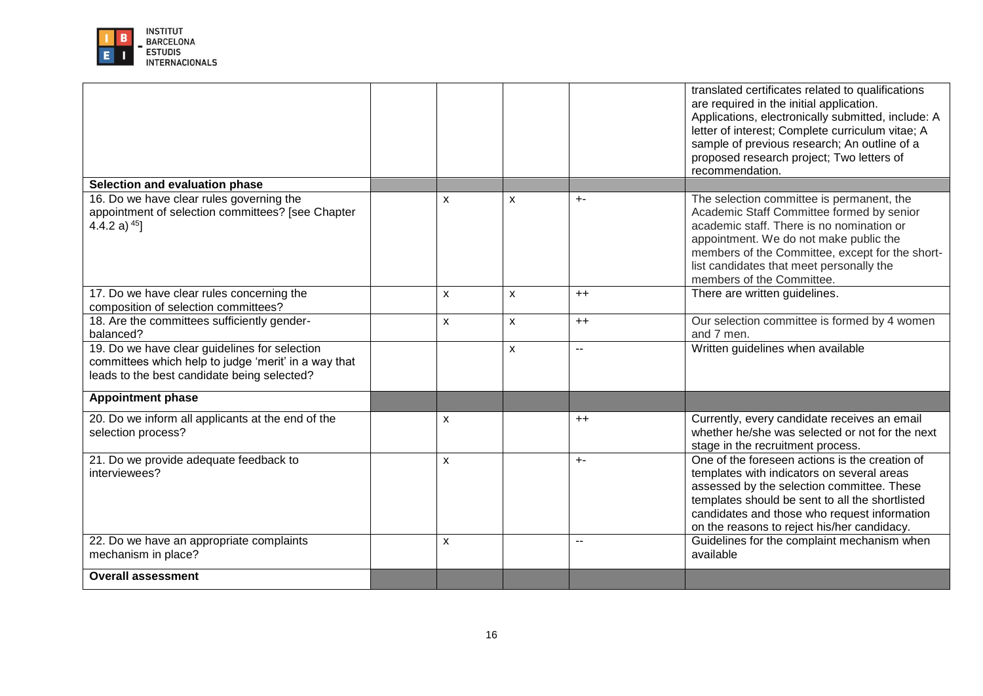

|                                                                                                                                                      |                           |   |                | translated certificates related to qualifications<br>are required in the initial application.<br>Applications, electronically submitted, include: A<br>letter of interest; Complete curriculum vitae; A<br>sample of previous research; An outline of a<br>proposed research project; Two letters of<br>recommendation. |
|------------------------------------------------------------------------------------------------------------------------------------------------------|---------------------------|---|----------------|-------------------------------------------------------------------------------------------------------------------------------------------------------------------------------------------------------------------------------------------------------------------------------------------------------------------------|
| Selection and evaluation phase                                                                                                                       |                           |   |                |                                                                                                                                                                                                                                                                                                                         |
| 16. Do we have clear rules governing the<br>appointment of selection committees? [see Chapter<br>4.4.2 a) $45$ ]                                     | $\boldsymbol{\mathsf{x}}$ | X | $+ -$          | The selection committee is permanent, the<br>Academic Staff Committee formed by senior<br>academic staff. There is no nomination or<br>appointment. We do not make public the<br>members of the Committee, except for the short-<br>list candidates that meet personally the<br>members of the Committee.               |
| 17. Do we have clear rules concerning the<br>composition of selection committees?                                                                    | X                         | X | $++$           | There are written guidelines.                                                                                                                                                                                                                                                                                           |
| 18. Are the committees sufficiently gender-<br>balanced?                                                                                             | X                         | X | $++$           | Our selection committee is formed by 4 women<br>and 7 men.                                                                                                                                                                                                                                                              |
| 19. Do we have clear guidelines for selection<br>committees which help to judge 'merit' in a way that<br>leads to the best candidate being selected? |                           | X | $\overline{a}$ | Written guidelines when available                                                                                                                                                                                                                                                                                       |
| <b>Appointment phase</b>                                                                                                                             |                           |   |                |                                                                                                                                                                                                                                                                                                                         |
| 20. Do we inform all applicants at the end of the<br>selection process?                                                                              | $\pmb{\times}$            |   | $++$           | Currently, every candidate receives an email<br>whether he/she was selected or not for the next<br>stage in the recruitment process.                                                                                                                                                                                    |
| 21. Do we provide adequate feedback to<br>interviewees?                                                                                              | $\mathsf{x}$              |   | $+$ -          | One of the foreseen actions is the creation of<br>templates with indicators on several areas<br>assessed by the selection committee. These<br>templates should be sent to all the shortlisted<br>candidates and those who request information<br>on the reasons to reject his/her candidacy.                            |
| 22. Do we have an appropriate complaints<br>mechanism in place?                                                                                      | X                         |   | $\overline{a}$ | Guidelines for the complaint mechanism when<br>available                                                                                                                                                                                                                                                                |
| <b>Overall assessment</b>                                                                                                                            |                           |   |                |                                                                                                                                                                                                                                                                                                                         |